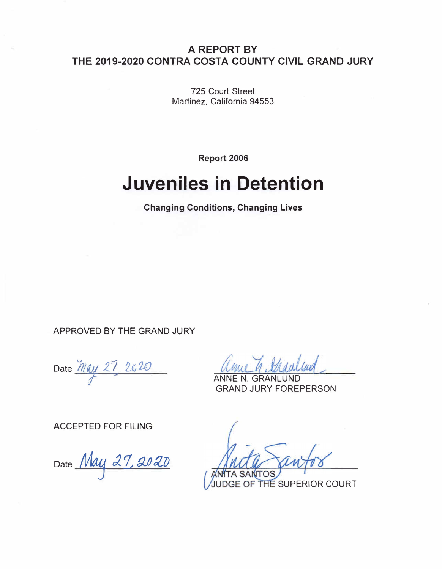### **A REPORT BY THE 2019-2020 CONTRA COSTA COUNTY CIVIL GRAND JURY**

725 Court Street Martinez, California 94553

**Report 2006** 

# **Juveniles in Detention**

**Changing Conditions, Changing Lives** 

APPROVED BY THE GRAND JURY

**Date** *fl( «/ 2\_* **z** *2.G 2()*

GRANLUND GRAND JURY FOREPERSON

ACCEPTED FOR FILING

Date *M 4:1 J. 1, !J..O /ll)*

 $SA$ THE SUPERIOR COURT **GE OF**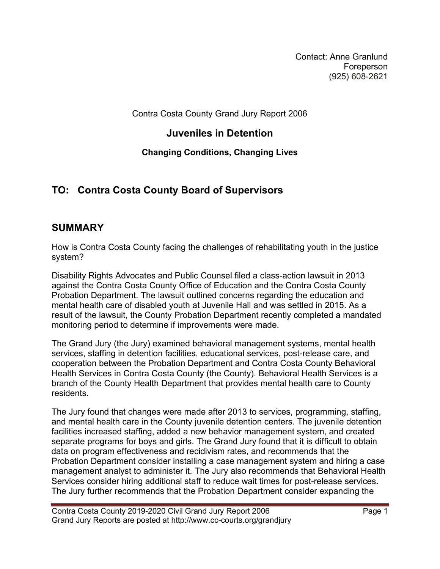Contact: Anne Granlund Foreperson (925) 608-2621

Contra Costa County Grand Jury Report 2006

### **Juveniles in Detention**

### **Changing Conditions, Changing Lives**

# **TO: Contra Costa County Board of Supervisors**

# **SUMMARY**

How is Contra Costa County facing the challenges of rehabilitating youth in the justice system?

Disability Rights Advocates and Public Counsel filed a class-action lawsuit in 2013 against the Contra Costa County Office of Education and the Contra Costa County Probation Department. The lawsuit outlined concerns regarding the education and mental health care of disabled youth at Juvenile Hall and was settled in 2015. As a result of the lawsuit, the County Probation Department recently completed a mandated monitoring period to determine if improvements were made.

The Grand Jury (the Jury) examined behavioral management systems, mental health services, staffing in detention facilities, educational services, post-release care, and cooperation between the Probation Department and Contra Costa County Behavioral Health Services in Contra Costa County (the County). Behavioral Health Services is a branch of the County Health Department that provides mental health care to County residents.

The Jury found that changes were made after 2013 to services, programming, staffing, and mental health care in the County juvenile detention centers. The juvenile detention facilities increased staffing, added a new behavior management system, and created separate programs for boys and girls. The Grand Jury found that it is difficult to obtain data on program effectiveness and recidivism rates, and recommends that the Probation Department consider installing a case management system and hiring a case management analyst to administer it. The Jury also recommends that Behavioral Health Services consider hiring additional staff to reduce wait times for post-release services. The Jury further recommends that the Probation Department consider expanding the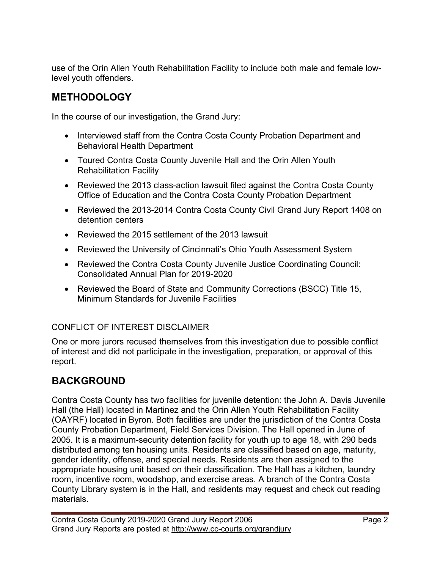use of the Orin Allen Youth Rehabilitation Facility to include both male and female lowlevel youth offenders.

# **METHODOLOGY**

In the course of our investigation, the Grand Jury:

- Interviewed staff from the Contra Costa County Probation Department and Behavioral Health Department
- Toured Contra Costa County Juvenile Hall and the Orin Allen Youth Rehabilitation Facility
- Reviewed the 2013 class-action lawsuit filed against the Contra Costa County Office of Education and the Contra Costa County Probation Department
- Reviewed the 2013-2014 Contra Costa County Civil Grand Jury Report 1408 on detention centers
- Reviewed the 2015 settlement of the 2013 lawsuit
- Reviewed the University of Cincinnati's Ohio Youth Assessment System
- Reviewed the Contra Costa County Juvenile Justice Coordinating Council: Consolidated Annual Plan for 2019-2020
- Reviewed the Board of State and Community Corrections (BSCC) Title 15, Minimum Standards for Juvenile Facilities

#### CONFLICT OF INTEREST DISCLAIMER

One or more jurors recused themselves from this investigation due to possible conflict of interest and did not participate in the investigation, preparation, or approval of this report.

# **BACKGROUND**

Contra Costa County has two facilities for juvenile detention: the John A. Davis Juvenile Hall (the Hall) located in Martinez and the Orin Allen Youth Rehabilitation Facility (OAYRF) located in Byron. Both facilities are under the jurisdiction of the Contra Costa County Probation Department, Field Services Division. The Hall opened in June of 2005. It is a maximum-security detention facility for youth up to age 18, with 290 beds distributed among ten housing units. Residents are classified based on age, maturity, gender identity, offense, and special needs. Residents are then assigned to the appropriate housing unit based on their classification. The Hall has a kitchen, laundry room, incentive room, woodshop, and exercise areas. A branch of the Contra Costa County Library system is in the Hall, and residents may request and check out reading materials.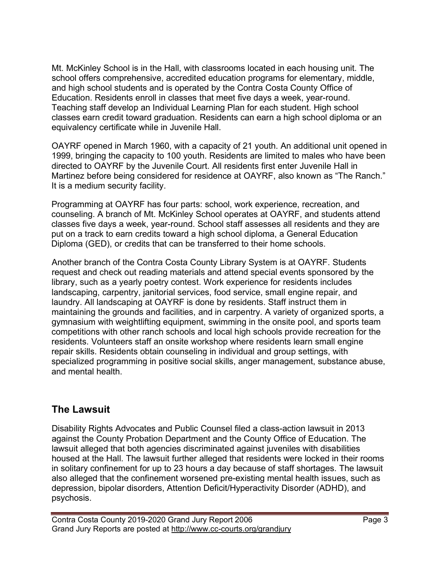Mt. McKinley School is in the Hall, with classrooms located in each housing unit. The school offers comprehensive, accredited education programs for elementary, middle, and high school students and is operated by the Contra Costa County Office of Education. Residents enroll in classes that meet five days a week, year-round. Teaching staff develop an Individual Learning Plan for each student. High school classes earn credit toward graduation. Residents can earn a high school diploma or an equivalency certificate while in Juvenile Hall.

OAYRF opened in March 1960, with a capacity of 21 youth. An additional unit opened in 1999, bringing the capacity to 100 youth. Residents are limited to males who have been directed to OAYRF by the Juvenile Court. All residents first enter Juvenile Hall in Martinez before being considered for residence at OAYRF, also known as "The Ranch." It is a medium security facility.

Programming at OAYRF has four parts: school, work experience, recreation, and counseling. A branch of Mt. McKinley School operates at OAYRF, and students attend classes five days a week, year-round. School staff assesses all residents and they are put on a track to earn credits toward a high school diploma, a General Education Diploma (GED), or credits that can be transferred to their home schools.

Another branch of the Contra Costa County Library System is at OAYRF. Students request and check out reading materials and attend special events sponsored by the library, such as a yearly poetry contest. Work experience for residents includes landscaping, carpentry, janitorial services, food service, small engine repair, and laundry. All landscaping at OAYRF is done by residents. Staff instruct them in maintaining the grounds and facilities, and in carpentry. A variety of organized sports, a gymnasium with weightlifting equipment, swimming in the onsite pool, and sports team competitions with other ranch schools and local high schools provide recreation for the residents. Volunteers staff an onsite workshop where residents learn small engine repair skills. Residents obtain counseling in individual and group settings, with specialized programming in positive social skills, anger management, substance abuse, and mental health.

#### **The Lawsuit**

Disability Rights Advocates and Public Counsel filed a class-action lawsuit in 2013 against the County Probation Department and the County Office of Education. The lawsuit alleged that both agencies discriminated against juveniles with disabilities housed at the Hall. The lawsuit further alleged that residents were locked in their rooms in solitary confinement for up to 23 hours a day because of staff shortages. The lawsuit also alleged that the confinement worsened pre-existing mental health issues, such as depression, bipolar disorders, Attention Deficit/Hyperactivity Disorder (ADHD), and psychosis.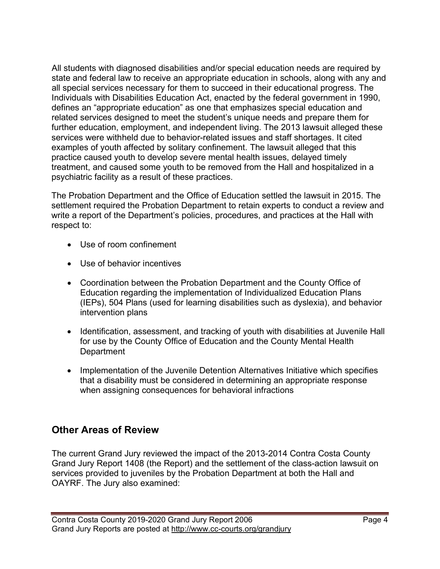All students with diagnosed disabilities and/or special education needs are required by state and federal law to receive an appropriate education in schools, along with any and all special services necessary for them to succeed in their educational progress. The Individuals with Disabilities Education Act, enacted by the federal government in 1990, defines an "appropriate education" as one that emphasizes special education and related services designed to meet the student's unique needs and prepare them for further education, employment, and independent living. The 2013 lawsuit alleged these services were withheld due to behavior-related issues and staff shortages. It cited examples of youth affected by solitary confinement. The lawsuit alleged that this practice caused youth to develop severe mental health issues, delayed timely treatment, and caused some youth to be removed from the Hall and hospitalized in a psychiatric facility as a result of these practices.

The Probation Department and the Office of Education settled the lawsuit in 2015. The settlement required the Probation Department to retain experts to conduct a review and write a report of the Department's policies, procedures, and practices at the Hall with respect to:

- Use of room confinement
- Use of behavior incentives
- Coordination between the Probation Department and the County Office of Education regarding the implementation of Individualized Education Plans (IEPs), 504 Plans (used for learning disabilities such as dyslexia), and behavior intervention plans
- Identification, assessment, and tracking of youth with disabilities at Juvenile Hall for use by the County Office of Education and the County Mental Health **Department**
- Implementation of the Juvenile Detention Alternatives Initiative which specifies that a disability must be considered in determining an appropriate response when assigning consequences for behavioral infractions

# **Other Areas of Review**

The current Grand Jury reviewed the impact of the 2013-2014 Contra Costa County Grand Jury Report 1408 (the Report) and the settlement of the class-action lawsuit on services provided to juveniles by the Probation Department at both the Hall and OAYRF. The Jury also examined: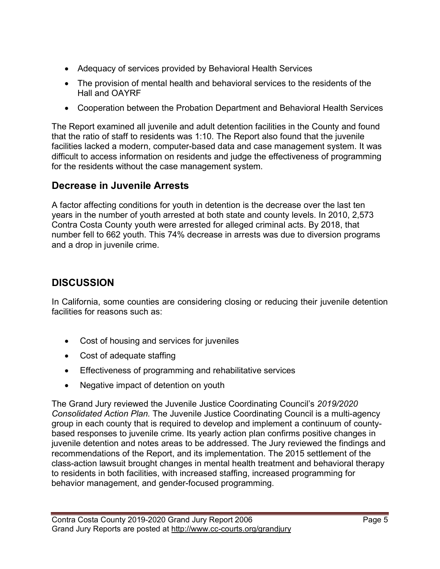- Adequacy of services provided by Behavioral Health Services
- The provision of mental health and behavioral services to the residents of the Hall and OAYRF
- Cooperation between the Probation Department and Behavioral Health Services

The Report examined all juvenile and adult detention facilities in the County and found that the ratio of staff to residents was 1:10. The Report also found that the juvenile facilities lacked a modern, computer-based data and case management system. It was difficult to access information on residents and judge the effectiveness of programming for the residents without the case management system.

# **Decrease in Juvenile Arrests**

A factor affecting conditions for youth in detention is the decrease over the last ten years in the number of youth arrested at both state and county levels. In 2010, 2,573 Contra Costa County youth were arrested for alleged criminal acts. By 2018, that number fell to 662 youth. This 74% decrease in arrests was due to diversion programs and a drop in juvenile crime.

# **DISCUSSION**

In California, some counties are considering closing or reducing their juvenile detention facilities for reasons such as:

- Cost of housing and services for juveniles
- Cost of adequate staffing
- Effectiveness of programming and rehabilitative services
- Negative impact of detention on youth

The Grand Jury reviewed the Juvenile Justice Coordinating Council's *2019/2020 Consolidated Action Plan.* The Juvenile Justice Coordinating Council is a multi-agency group in each county that is required to develop and implement a continuum of countybased responses to juvenile crime. Its yearly action plan confirms positive changes in juvenile detention and notes areas to be addressed. The Jury reviewed the findings and recommendations of the Report, and its implementation. The 2015 settlement of the class-action lawsuit brought changes in mental health treatment and behavioral therapy to residents in both facilities, with increased staffing, increased programming for behavior management, and gender-focused programming.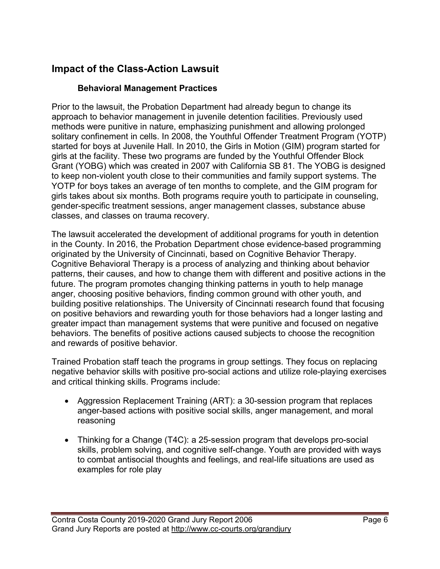# **Impact of the Class-Action Lawsuit**

#### **Behavioral Management Practices**

Prior to the lawsuit, the Probation Department had already begun to change its approach to behavior management in juvenile detention facilities. Previously used methods were punitive in nature, emphasizing punishment and allowing prolonged solitary confinement in cells. In 2008, the Youthful Offender Treatment Program (YOTP) started for boys at Juvenile Hall. In 2010, the Girls in Motion (GIM) program started for girls at the facility. These two programs are funded by the Youthful Offender Block Grant (YOBG) which was created in 2007 with California SB 81. The YOBG is designed to keep non-violent youth close to their communities and family support systems. The YOTP for boys takes an average of ten months to complete, and the GIM program for girls takes about six months. Both programs require youth to participate in counseling, gender-specific treatment sessions, anger management classes, substance abuse classes, and classes on trauma recovery.

The lawsuit accelerated the development of additional programs for youth in detention in the County. In 2016, the Probation Department chose evidence-based programming originated by the University of Cincinnati, based on Cognitive Behavior Therapy. Cognitive Behavioral Therapy is a process of analyzing and thinking about behavior patterns, their causes, and how to change them with different and positive actions in the future. The program promotes changing thinking patterns in youth to help manage anger, choosing positive behaviors, finding common ground with other youth, and building positive relationships. The University of Cincinnati research found that focusing on positive behaviors and rewarding youth for those behaviors had a longer lasting and greater impact than management systems that were punitive and focused on negative behaviors. The benefits of positive actions caused subjects to choose the recognition and rewards of positive behavior.

Trained Probation staff teach the programs in group settings. They focus on replacing negative behavior skills with positive pro-social actions and utilize role-playing exercises and critical thinking skills. Programs include:

- Aggression Replacement Training (ART): a 30-session program that replaces anger-based actions with positive social skills, anger management, and moral reasoning
- Thinking for a Change (T4C): a 25-session program that develops pro-social skills, problem solving, and cognitive self-change. Youth are provided with ways to combat antisocial thoughts and feelings, and real-life situations are used as examples for role play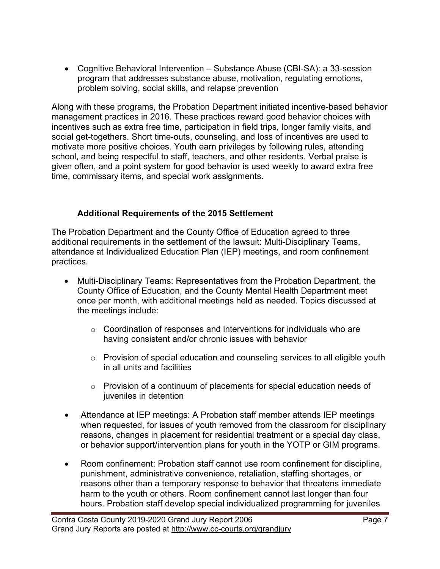• Cognitive Behavioral Intervention – Substance Abuse (CBI-SA): a 33-session program that addresses substance abuse, motivation, regulating emotions, problem solving, social skills, and relapse prevention

Along with these programs, the Probation Department initiated incentive-based behavior management practices in 2016. These practices reward good behavior choices with incentives such as extra free time, participation in field trips, longer family visits, and social get-togethers. Short time-outs, counseling, and loss of incentives are used to motivate more positive choices. Youth earn privileges by following rules, attending school, and being respectful to staff, teachers, and other residents. Verbal praise is given often, and a point system for good behavior is used weekly to award extra free time, commissary items, and special work assignments.

#### **Additional Requirements of the 2015 Settlement**

The Probation Department and the County Office of Education agreed to three additional requirements in the settlement of the lawsuit: Multi-Disciplinary Teams, attendance at Individualized Education Plan (IEP) meetings, and room confinement practices.

- Multi-Disciplinary Teams: Representatives from the Probation Department, the County Office of Education, and the County Mental Health Department meet once per month, with additional meetings held as needed. Topics discussed at the meetings include:
	- $\circ$  Coordination of responses and interventions for individuals who are having consistent and/or chronic issues with behavior
	- $\circ$  Provision of special education and counseling services to all eligible youth in all units and facilities
	- o Provision of a continuum of placements for special education needs of juveniles in detention
- Attendance at IEP meetings: A Probation staff member attends IEP meetings when requested, for issues of youth removed from the classroom for disciplinary reasons, changes in placement for residential treatment or a special day class, or behavior support/intervention plans for youth in the YOTP or GIM programs.
- Room confinement: Probation staff cannot use room confinement for discipline, punishment, administrative convenience, retaliation, staffing shortages, or reasons other than a temporary response to behavior that threatens immediate harm to the youth or others. Room confinement cannot last longer than four hours. Probation staff develop special individualized programming for juveniles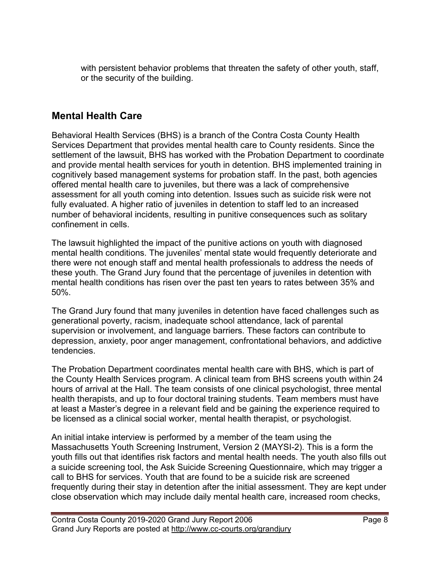with persistent behavior problems that threaten the safety of other youth, staff, or the security of the building.

### **Mental Health Care**

Behavioral Health Services (BHS) is a branch of the Contra Costa County Health Services Department that provides mental health care to County residents. Since the settlement of the lawsuit, BHS has worked with the Probation Department to coordinate and provide mental health services for youth in detention. BHS implemented training in cognitively based management systems for probation staff. In the past, both agencies offered mental health care to juveniles, but there was a lack of comprehensive assessment for all youth coming into detention. Issues such as suicide risk were not fully evaluated. A higher ratio of juveniles in detention to staff led to an increased number of behavioral incidents, resulting in punitive consequences such as solitary confinement in cells.

The lawsuit highlighted the impact of the punitive actions on youth with diagnosed mental health conditions. The juveniles' mental state would frequently deteriorate and there were not enough staff and mental health professionals to address the needs of these youth. The Grand Jury found that the percentage of juveniles in detention with mental health conditions has risen over the past ten years to rates between 35% and 50%.

The Grand Jury found that many juveniles in detention have faced challenges such as generational poverty, racism, inadequate school attendance, lack of parental supervision or involvement, and language barriers. These factors can contribute to depression, anxiety, poor anger management, confrontational behaviors, and addictive tendencies.

The Probation Department coordinates mental health care with BHS, which is part of the County Health Services program. A clinical team from BHS screens youth within 24 hours of arrival at the Hall. The team consists of one clinical psychologist, three mental health therapists, and up to four doctoral training students. Team members must have at least a Master's degree in a relevant field and be gaining the experience required to be licensed as a clinical social worker, mental health therapist, or psychologist.

An initial intake interview is performed by a member of the team using the Massachusetts Youth Screening Instrument, Version 2 (MAYSI-2). This is a form the youth fills out that identifies risk factors and mental health needs. The youth also fills out a suicide screening tool, the Ask Suicide Screening Questionnaire, which may trigger a call to BHS for services. Youth that are found to be a suicide risk are screened frequently during their stay in detention after the initial assessment. They are kept under close observation which may include daily mental health care, increased room checks,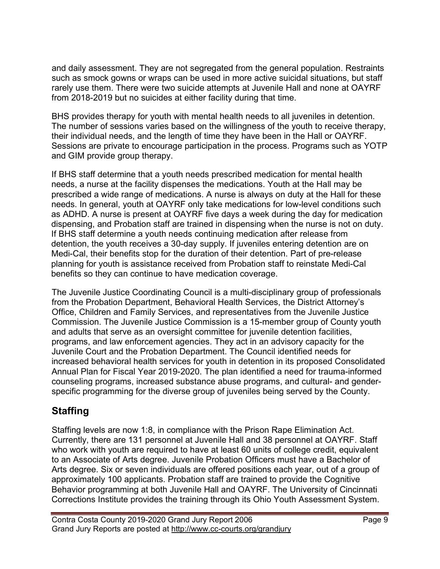and daily assessment. They are not segregated from the general population. Restraints such as smock gowns or wraps can be used in more active suicidal situations, but staff rarely use them. There were two suicide attempts at Juvenile Hall and none at OAYRF from 2018-2019 but no suicides at either facility during that time.

BHS provides therapy for youth with mental health needs to all juveniles in detention. The number of sessions varies based on the willingness of the youth to receive therapy, their individual needs, and the length of time they have been in the Hall or OAYRF. Sessions are private to encourage participation in the process. Programs such as YOTP and GIM provide group therapy.

If BHS staff determine that a youth needs prescribed medication for mental health needs, a nurse at the facility dispenses the medications. Youth at the Hall may be prescribed a wide range of medications. A nurse is always on duty at the Hall for these needs. In general, youth at OAYRF only take medications for low-level conditions such as ADHD. A nurse is present at OAYRF five days a week during the day for medication dispensing, and Probation staff are trained in dispensing when the nurse is not on duty. If BHS staff determine a youth needs continuing medication after release from detention, the youth receives a 30-day supply. If juveniles entering detention are on Medi-Cal, their benefits stop for the duration of their detention. Part of pre-release planning for youth is assistance received from Probation staff to reinstate Medi-Cal benefits so they can continue to have medication coverage.

The Juvenile Justice Coordinating Council is a multi-disciplinary group of professionals from the Probation Department, Behavioral Health Services, the District Attorney's Office, Children and Family Services, and representatives from the Juvenile Justice Commission. The Juvenile Justice Commission is a 15-member group of County youth and adults that serve as an oversight committee for juvenile detention facilities, programs, and law enforcement agencies. They act in an advisory capacity for the Juvenile Court and the Probation Department. The Council identified needs for increased behavioral health services for youth in detention in its proposed Consolidated Annual Plan for Fiscal Year 2019-2020. The plan identified a need for trauma-informed counseling programs, increased substance abuse programs, and cultural- and genderspecific programming for the diverse group of juveniles being served by the County.

### **Staffing**

Staffing levels are now 1:8, in compliance with the Prison Rape Elimination Act. Currently, there are 131 personnel at Juvenile Hall and 38 personnel at OAYRF. Staff who work with youth are required to have at least 60 units of college credit, equivalent to an Associate of Arts degree. Juvenile Probation Officers must have a Bachelor of Arts degree. Six or seven individuals are offered positions each year, out of a group of approximately 100 applicants. Probation staff are trained to provide the Cognitive Behavior programming at both Juvenile Hall and OAYRF. The University of Cincinnati Corrections Institute provides the training through its Ohio Youth Assessment System.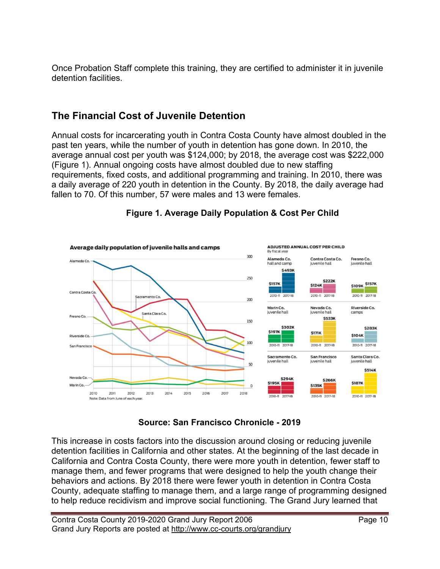Once Probation Staff complete this training, they are certified to administer it in juvenile detention facilities.

# **The Financial Cost of Juvenile Detention**

Annual costs for incarcerating youth in Contra Costa County have almost doubled in the past ten years, while the number of youth in detention has gone down. In 2010, the average annual cost per youth was \$124,000; by 2018, the average cost was \$222,000 (Figure 1). Annual ongoing costs have almost doubled due to new staffing requirements, fixed costs, and additional programming and training. In 2010, there was a daily average of 220 youth in detention in the County. By 2018, the daily average had fallen to 70. Of this number, 57 were males and 13 were females.



#### **Figure 1. Average Daily Population & Cost Per Child**

**Source: San Francisco Chronicle - 2019**

This increase in costs factors into the discussion around closing or reducing juvenile detention facilities in California and other states. At the beginning of the last decade in California and Contra Costa County, there were more youth in detention, fewer staff to manage them, and fewer programs that were designed to help the youth change their behaviors and actions. By 2018 there were fewer youth in detention in Contra Costa County, adequate staffing to manage them, and a large range of programming designed to help reduce recidivism and improve social functioning. The Grand Jury learned that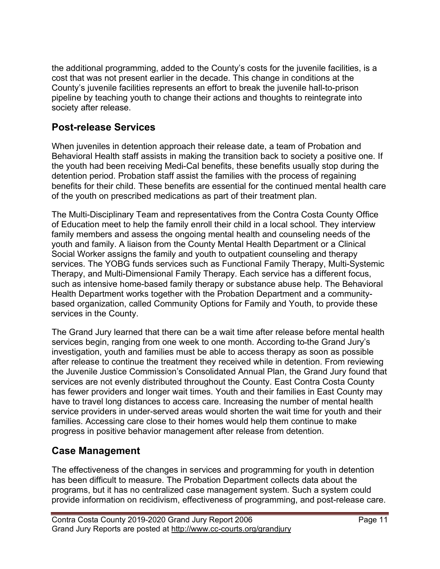the additional programming, added to the County's costs for the juvenile facilities, is a cost that was not present earlier in the decade. This change in conditions at the County's juvenile facilities represents an effort to break the juvenile hall-to-prison pipeline by teaching youth to change their actions and thoughts to reintegrate into society after release.

### **Post-release Services**

When juveniles in detention approach their release date, a team of Probation and Behavioral Health staff assists in making the transition back to society a positive one. If the youth had been receiving Medi-Cal benefits, these benefits usually stop during the detention period. Probation staff assist the families with the process of regaining benefits for their child. These benefits are essential for the continued mental health care of the youth on prescribed medications as part of their treatment plan.

The Multi-Disciplinary Team and representatives from the Contra Costa County Office of Education meet to help the family enroll their child in a local school. They interview family members and assess the ongoing mental health and counseling needs of the youth and family. A liaison from the County Mental Health Department or a Clinical Social Worker assigns the family and youth to outpatient counseling and therapy services. The YOBG funds services such as Functional Family Therapy, Multi-Systemic Therapy, and Multi-Dimensional Family Therapy. Each service has a different focus, such as intensive home-based family therapy or substance abuse help. The Behavioral Health Department works together with the Probation Department and a communitybased organization, called Community Options for Family and Youth, to provide these services in the County.

The Grand Jury learned that there can be a wait time after release before mental health services begin, ranging from one week to one month. According to-the Grand Jury's investigation, youth and families must be able to access therapy as soon as possible after release to continue the treatment they received while in detention. From reviewing the Juvenile Justice Commission's Consolidated Annual Plan, the Grand Jury found that services are not evenly distributed throughout the County. East Contra Costa County has fewer providers and longer wait times. Youth and their families in East County may have to travel long distances to access care. Increasing the number of mental health service providers in under-served areas would shorten the wait time for youth and their families. Accessing care close to their homes would help them continue to make progress in positive behavior management after release from detention.

### **Case Management**

The effectiveness of the changes in services and programming for youth in detention has been difficult to measure. The Probation Department collects data about the programs, but it has no centralized case management system. Such a system could provide information on recidivism, effectiveness of programming, and post-release care.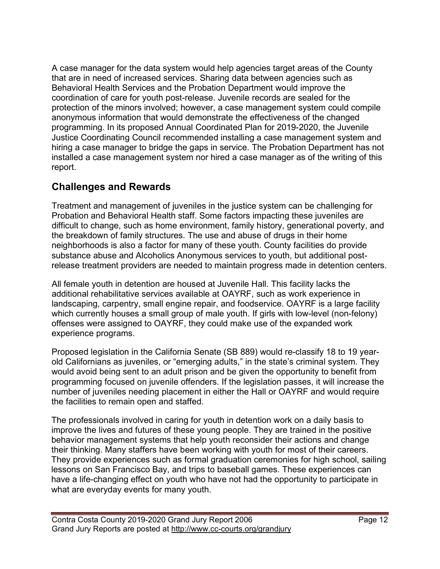A case manager for the data system would help agencies target areas of the County that are in need of increased services. Sharing data between agencies such as Behavioral Health Services and the Probation Department would improve the coordination of care for youth post-release. Juvenile records are sealed for the protection of the minors involved; however, a case management system could compile anonymous information that would demonstrate the effectiveness of the changed programming. In its proposed Annual Coordinated Plan for 2019-2020, the Juvenile Justice Coordinating Council recommended installing a case management system and hiring a case manager to bridge the gaps in service. The Probation Department has not installed a case management system nor hired a case manager as of the writing of this report.

### **Challenges and Rewards**

Treatment and management of juveniles in the justice system can be challenging for Probation and Behavioral Health staff. Some factors impacting these juveniles are difficult to change, such as home environment, family history, generational poverty, and the breakdown of family structures. The use and abuse of drugs in their home neighborhoods is also a factor for many of these youth. County facilities do provide substance abuse and Alcoholics Anonymous services to youth, but additional postrelease treatment providers are needed to maintain progress made in detention centers.

All female youth in detention are housed at Juvenile Hall. This facility lacks the additional rehabilitative services available at OAYRF, such as work experience in landscaping, carpentry, small engine repair, and foodservice. OAYRF is a large facility which currently houses a small group of male youth. If girls with low-level (non-felony) offenses were assigned to OAYRF, they could make use of the expanded work experience programs.

Proposed legislation in the California Senate (SB 889) would re-classify 18 to 19 yearold Californians as juveniles, or "emerging adults," in the state's criminal system. They would avoid being sent to an adult prison and be given the opportunity to benefit from programming focused on juvenile offenders. If the legislation passes, it will increase the number of juveniles needing placement in either the Hall or OAYRF and would require the facilities to remain open and staffed.

The professionals involved in caring for youth in detention work on a daily basis to improve the lives and futures of these young people. They are trained in the positive behavior management systems that help youth reconsider their actions and change their thinking. Many staffers have been working with youth for most of their careers. They provide experiences such as formal graduation ceremonies for high school, sailing lessons on San Francisco Bay, and trips to baseball games. These experiences can have a life-changing effect on youth who have not had the opportunity to participate in what are everyday events for many youth.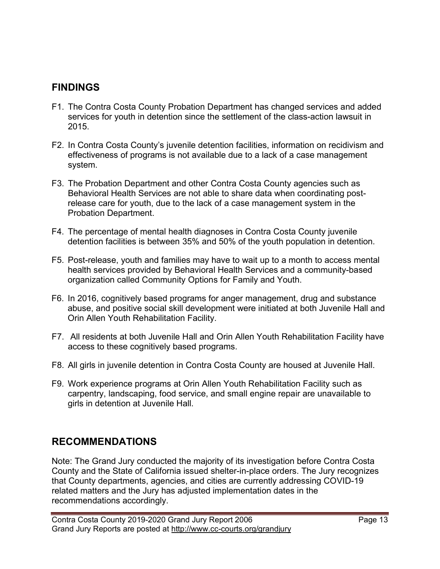### **FINDINGS**

- F1. The Contra Costa County Probation Department has changed services and added services for youth in detention since the settlement of the class-action lawsuit in 2015.
- F2. In Contra Costa County's juvenile detention facilities, information on recidivism and effectiveness of programs is not available due to a lack of a case management system.
- F3. The Probation Department and other Contra Costa County agencies such as Behavioral Health Services are not able to share data when coordinating postrelease care for youth, due to the lack of a case management system in the Probation Department.
- F4. The percentage of mental health diagnoses in Contra Costa County juvenile detention facilities is between 35% and 50% of the youth population in detention.
- F5. Post-release, youth and families may have to wait up to a month to access mental health services provided by Behavioral Health Services and a community-based organization called Community Options for Family and Youth.
- F6. In 2016, cognitively based programs for anger management, drug and substance abuse, and positive social skill development were initiated at both Juvenile Hall and Orin Allen Youth Rehabilitation Facility.
- F7. All residents at both Juvenile Hall and Orin Allen Youth Rehabilitation Facility have access to these cognitively based programs.
- F8. All girls in juvenile detention in Contra Costa County are housed at Juvenile Hall.
- F9. Work experience programs at Orin Allen Youth Rehabilitation Facility such as carpentry, landscaping, food service, and small engine repair are unavailable to girls in detention at Juvenile Hall.

# **RECOMMENDATIONS**

Note: The Grand Jury conducted the majority of its investigation before Contra Costa County and the State of California issued shelter-in-place orders. The Jury recognizes that County departments, agencies, and cities are currently addressing COVID-19 related matters and the Jury has adjusted implementation dates in the recommendations accordingly.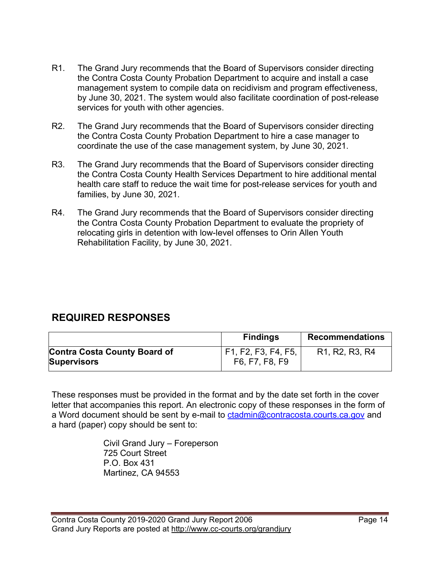- R1. The Grand Jury recommends that the Board of Supervisors consider directing the Contra Costa County Probation Department to acquire and install a case management system to compile data on recidivism and program effectiveness, by June 30, 2021. The system would also facilitate coordination of post-release services for youth with other agencies.
- R2. The Grand Jury recommends that the Board of Supervisors consider directing the Contra Costa County Probation Department to hire a case manager to coordinate the use of the case management system, by June 30, 2021.
- R3. The Grand Jury recommends that the Board of Supervisors consider directing the Contra Costa County Health Services Department to hire additional mental health care staff to reduce the wait time for post-release services for youth and families, by June 30, 2021.
- R4. The Grand Jury recommends that the Board of Supervisors consider directing the Contra Costa County Probation Department to evaluate the propriety of relocating girls in detention with low-level offenses to Orin Allen Youth Rehabilitation Facility, by June 30, 2021.

### **REQUIRED RESPONSES**

|                                                           | <b>Findings</b>                         | <b>Recommendations</b>                                            |
|-----------------------------------------------------------|-----------------------------------------|-------------------------------------------------------------------|
| <b>Contra Costa County Board of</b><br><b>Supervisors</b> | ' F1, F2, F3, F4, F5,<br>F6, F7, F8, F9 | R <sub>1</sub> , R <sub>2</sub> , R <sub>3</sub> , R <sub>4</sub> |

These responses must be provided in the format and by the date set forth in the cover letter that accompanies this report. An electronic copy of these responses in the form of a Word document should be sent by e-mail to [ctadmin@contracosta.courts.ca.gov](mailto:clope2@contracosta.courts.ca.gov) and a hard (paper) copy should be sent to:

> Civil Grand Jury – Foreperson 725 Court Street P.O. Box 431 Martinez, CA 94553